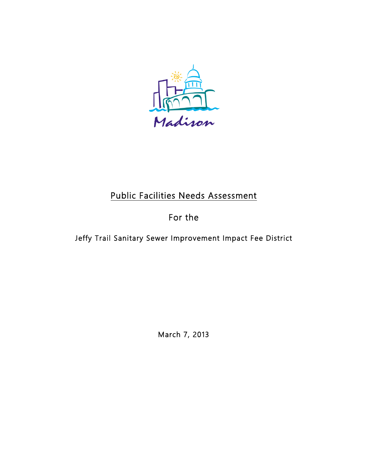

# Public Facilities Needs Assessment

## For the

Jeffy Trail Sanitary Sewer Improvement Impact Fee District

March 7, 2013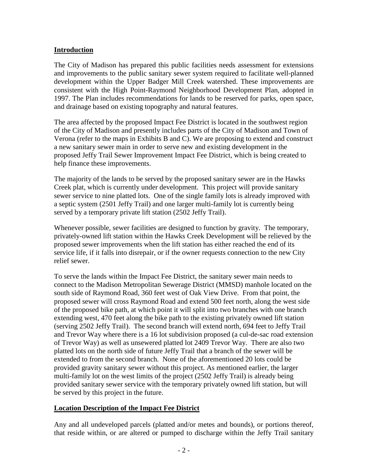#### **Introduction**

The City of Madison has prepared this public facilities needs assessment for extensions and improvements to the public sanitary sewer system required to facilitate well-planned development within the Upper Badger Mill Creek watershed. These improvements are consistent with the High Point-Raymond Neighborhood Development Plan, adopted in 1997. The Plan includes recommendations for lands to be reserved for parks, open space, and drainage based on existing topography and natural features.

The area affected by the proposed Impact Fee District is located in the southwest region of the City of Madison and presently includes parts of the City of Madison and Town of Verona (refer to the maps in Exhibits B and C). We are proposing to extend and construct a new sanitary sewer main in order to serve new and existing development in the proposed Jeffy Trail Sewer Improvement Impact Fee District, which is being created to help finance these improvements.

The majority of the lands to be served by the proposed sanitary sewer are in the Hawks Creek plat, which is currently under development. This project will provide sanitary sewer service to nine platted lots. One of the single family lots is already improved with a septic system (2501 Jeffy Trail) and one larger multi-family lot is currently being served by a temporary private lift station (2502 Jeffy Trail).

Whenever possible, sewer facilities are designed to function by gravity. The temporary, privately-owned lift station within the Hawks Creek Development will be relieved by the proposed sewer improvements when the lift station has either reached the end of its service life, if it falls into disrepair, or if the owner requests connection to the new City relief sewer.

To serve the lands within the Impact Fee District, the sanitary sewer main needs to connect to the Madison Metropolitan Sewerage District (MMSD) manhole located on the south side of Raymond Road, 360 feet west of Oak View Drive. From that point, the proposed sewer will cross Raymond Road and extend 500 feet north, along the west side of the proposed bike path, at which point it will split into two branches with one branch extending west, 470 feet along the bike path to the existing privately owned lift station (serving 2502 Jeffy Trail). The second branch will extend north, 694 feet to Jeffy Trail and Trevor Way where there is a 16 lot subdivision proposed (a cul-de-sac road extension of Trevor Way) as well as unsewered platted lot 2409 Trevor Way. There are also two platted lots on the north side of future Jeffy Trail that a branch of the sewer will be extended to from the second branch. None of the aforementioned 20 lots could be provided gravity sanitary sewer without this project. As mentioned earlier, the larger multi-family lot on the west limits of the project (2502 Jeffy Trail) is already being provided sanitary sewer service with the temporary privately owned lift station, but will be served by this project in the future.

#### **Location Description of the Impact Fee District**

Any and all undeveloped parcels (platted and/or metes and bounds), or portions thereof, that reside within, or are altered or pumped to discharge within the Jeffy Trail sanitary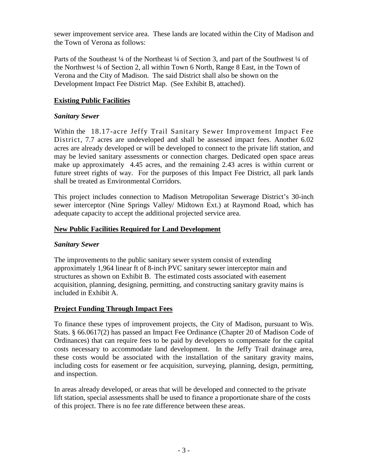sewer improvement service area. These lands are located within the City of Madison and the Town of Verona as follows:

Parts of the Southeast 1/4 of the Northeast 1/4 of Section 3, and part of the Southwest 1/4 of the Northwest ¼ of Section 2, all within Town 6 North, Range 8 East, in the Town of Verona and the City of Madison. The said District shall also be shown on the Development Impact Fee District Map. (See Exhibit B, attached).

## **Existing Public Facilities**

#### *Sanitary Sewer*

Within the 18.17-acre Jeffy Trail Sanitary Sewer Improvement Impact Fee District, 7.7 acres are undeveloped and shall be assessed impact fees. Another 6.02 acres are already developed or will be developed to connect to the private lift station, and may be levied sanitary assessments or connection charges. Dedicated open space areas make up approximately 4.45 acres, and the remaining 2.43 acres is within current or future street rights of way. For the purposes of this Impact Fee District, all park lands shall be treated as Environmental Corridors.

This project includes connection to Madison Metropolitan Sewerage District's 30-inch sewer interceptor (Nine Springs Valley/ Midtown Ext.) at Raymond Road, which has adequate capacity to accept the additional projected service area.

## **New Public Facilities Required for Land Development**

#### *Sanitary Sewer*

The improvements to the public sanitary sewer system consist of extending approximately 1,964 linear ft of 8-inch PVC sanitary sewer interceptor main and structures as shown on Exhibit B. The estimated costs associated with easement acquisition, planning, designing, permitting, and constructing sanitary gravity mains is included in Exhibit A.

## **Project Funding Through Impact Fees**

To finance these types of improvement projects, the City of Madison, pursuant to Wis. Stats. § 66.0617(2) has passed an Impact Fee Ordinance (Chapter 20 of Madison Code of Ordinances) that can require fees to be paid by developers to compensate for the capital costs necessary to accommodate land development. In the Jeffy Trail drainage area, these costs would be associated with the installation of the sanitary gravity mains, including costs for easement or fee acquisition, surveying, planning, design, permitting, and inspection.

In areas already developed, or areas that will be developed and connected to the private lift station, special assessments shall be used to finance a proportionate share of the costs of this project. There is no fee rate difference between these areas.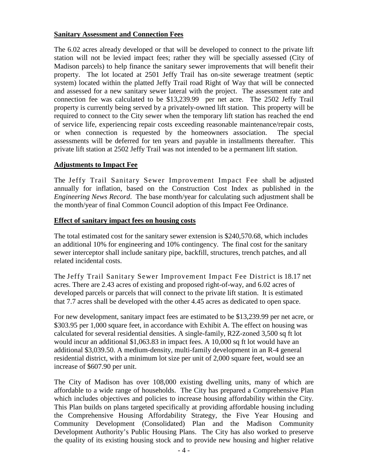#### **Sanitary Assessment and Connection Fees**

The 6.02 acres already developed or that will be developed to connect to the private lift station will not be levied impact fees; rather they will be specially assessed (City of Madison parcels) to help finance the sanitary sewer improvements that will benefit their property. The lot located at 2501 Jeffy Trail has on-site sewerage treatment (septic system) located within the platted Jeffy Trail road Right of Way that will be connected and assessed for a new sanitary sewer lateral with the project. The assessment rate and connection fee was calculated to be \$13,239.99 per net acre. The 2502 Jeffy Trail property is currently being served by a privately-owned lift station. This property will be required to connect to the City sewer when the temporary lift station has reached the end of service life, experiencing repair costs exceeding reasonable maintenance/repair costs, or when connection is requested by the homeowners association. The special assessments will be deferred for ten years and payable in installments thereafter. This private lift station at 2502 Jeffy Trail was not intended to be a permanent lift station.

#### **Adjustments to Impact Fee**

The Jeffy Trail Sanitary Sewer Improvement Impact Fee shall be adjusted annually for inflation, based on the Construction Cost Index as published in the *Engineering News Record*. The base month/year for calculating such adjustment shall be the month/year of final Common Council adoption of this Impact Fee Ordinance.

#### **Effect of sanitary impact fees on housing costs**

The total estimated cost for the sanitary sewer extension is \$240,570.68, which includes an additional 10% for engineering and 10% contingency. The final cost for the sanitary sewer interceptor shall include sanitary pipe, backfill, structures, trench patches, and all related incidental costs.

The Jeffy Trail Sanitary Sewer Improvement Impact Fee District is 18.17 net acres. There are 2.43 acres of existing and proposed right-of-way, and 6.02 acres of developed parcels or parcels that will connect to the private lift station. It is estimated that 7.7 acres shall be developed with the other 4.45 acres as dedicated to open space.

For new development, sanitary impact fees are estimated to be \$13,239.99 per net acre, or \$303.95 per 1,000 square feet, in accordance with Exhibit A. The effect on housing was calculated for several residential densities. A single-family, R2Z-zoned 3,500 sq ft lot would incur an additional \$1,063.83 in impact fees. A 10,000 sq ft lot would have an additional \$3,039.50. A medium-density, multi-family development in an R-4 general residential district, with a minimum lot size per unit of 2,000 square feet, would see an increase of \$607.90 per unit.

The City of Madison has over 108,000 existing dwelling units, many of which are affordable to a wide range of households. The City has prepared a Comprehensive Plan which includes objectives and policies to increase housing affordability within the City. This Plan builds on plans targeted specifically at providing affordable housing including the Comprehensive Housing Affordability Strategy, the Five Year Housing and Community Development (Consolidated) Plan and the Madison Community Development Authority's Public Housing Plans. The City has also worked to preserve the quality of its existing housing stock and to provide new housing and higher relative